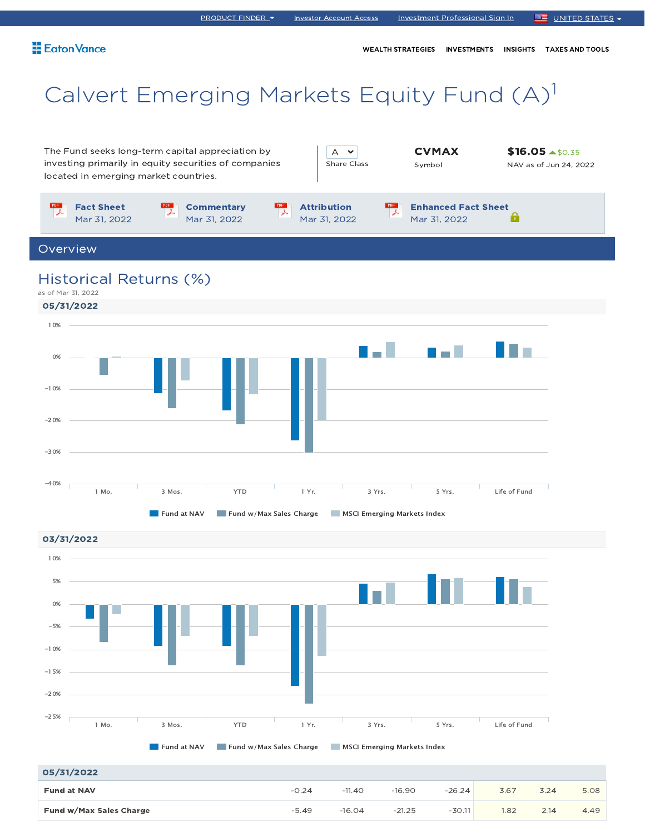#### Eaton Vance

# Calvert Emerging Markets Equity Fund (A)<sup>1</sup>

The Fund seeks long-term capital appreciation by investing primarily in equity securities of companies located in emerging market countries.

| <b>Share Class</b> |
|--------------------|
|                    |

**CVMAX** Symbol

**\$16.05 ▲\$0.35** NAV as of Jun 24, 2022



Overview

## Historical Returns (%)





| 05/31/2022              |         |          |          |          |      |      |      |
|-------------------------|---------|----------|----------|----------|------|------|------|
| <b>Fund at NAV</b>      | $-0.24$ | $-11.40$ | $-16.90$ | $-26.24$ | 3.67 | 3.24 | 5.08 |
| Fund w/Max Sales Charge | $-5.49$ | $-16.04$ | $-21.25$ | $-30.11$ | 1.82 | 2.14 | 4.49 |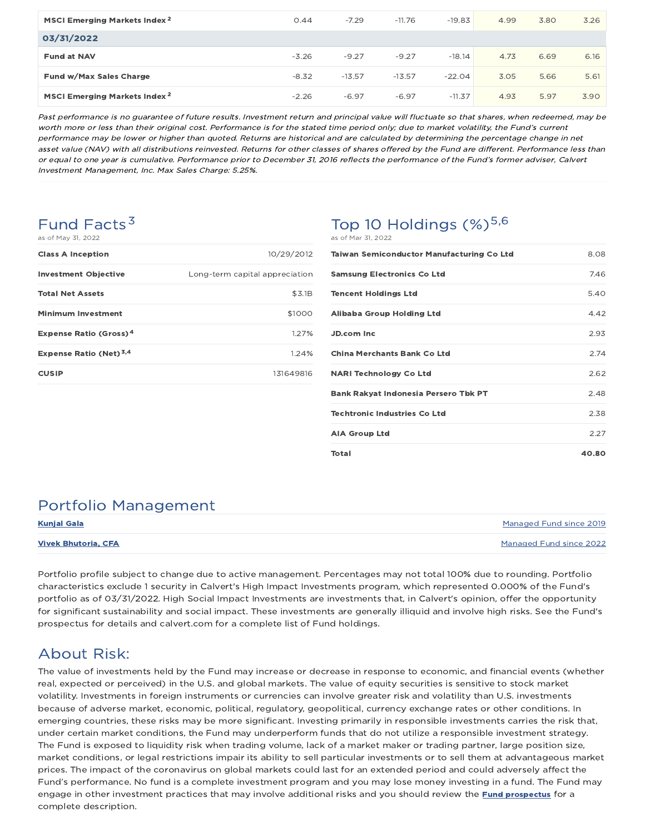| MSCI Emerging Markets Index <sup>2</sup> | 0.44    | $-7.29$  | $-11.76$ | $-19.83$ | 4.99 | 3.80 | 3.26 |
|------------------------------------------|---------|----------|----------|----------|------|------|------|
| 03/31/2022                               |         |          |          |          |      |      |      |
| <b>Fund at NAV</b>                       | $-3.26$ | $-9.27$  | $-9.27$  | $-18.14$ | 4.73 | 6.69 | 6.16 |
| Fund w/Max Sales Charge                  | $-8.32$ | $-13.57$ | $-13.57$ | $-22.04$ | 3.05 | 5.66 | 5.61 |
| MSCI Emerging Markets Index <sup>2</sup> | $-2.26$ | $-6.97$  | $-6.97$  | $-11.37$ | 4.93 | 5.97 | 3.90 |

Past performance is no guarantee of future results. Investment return and principal value will fluctuate so that shares, when redeemed, may be worth more or less than their original cost. Performance is for the stated time period only; due to market volatility, the Fund's current performance may be lower or higher than quoted. Returns are historical and are calculated by determining the percentage change in net asset value (NAV) with all distributions reinvested. Returns for other classes of shares offered by the Fund are different. Performance less than or equal to one year is cumulative. Performance prior to December 31, 2016 reflects the performance of the Fund's former adviser, Calvert Investment Management, Inc. Max Sales Charge: 5.25%.

#### Fund Facts<sup>3</sup> as of May 31, 2022

| <b>Class A Inception</b>                 | 10/29/2012                     |
|------------------------------------------|--------------------------------|
| <b>Investment Objective</b>              | Long-term capital appreciation |
| <b>Total Net Assets</b>                  | \$3.1B                         |
| <b>Minimum Investment</b>                | \$1000                         |
| <b>Expense Ratio (Gross)<sup>4</sup></b> | 1.27%                          |
| Expense Ratio (Net) <sup>3,4</sup>       | 1.24%                          |
| <b>CUSIP</b>                             | 131649816                      |
|                                          |                                |

#### Top 10 Holdings  $(\%)^{5,6}$ as of Mar 31, 2022

| <b>Taiwan Semiconductor Manufacturing Co Ltd</b> | 8.08  |
|--------------------------------------------------|-------|
| <b>Samsung Electronics Co Ltd</b>                | 7.46  |
| <b>Tencent Holdings Ltd</b>                      | 5.40  |
| Alibaba Group Holding Ltd                        | 4.42  |
| <b>JD.com Inc.</b>                               | 2.93  |
| China Merchants Bank Co Ltd                      | 2.74  |
| <b>NARI Technology Co Ltd</b>                    | 2.62  |
| <b>Bank Rakyat Indonesia Persero Tbk PT</b>      | 2.48  |
| <b>Techtronic Industries Co Ltd</b>              | 2.38  |
| <b>AIA Group Ltd</b>                             | 2.27  |
| <b>Total</b>                                     | 40.80 |

## Portfolio Management

| <b>Kunjal Gala</b>         | Managed Fund since 2019 |
|----------------------------|-------------------------|
| <b>Vivek Bhutoria, CFA</b> | Managed Fund since 2022 |

Portfolio profile subject to change due to active management. Percentages may not total 100% due to rounding. Portfolio characteristics exclude 1 security in Calvert's High Impact Investments program, which represented 0.000% of the Fund's portfolio as of 03/31/2022. High Social Impact Investments are investments that, in Calvert's opinion, offer the opportunity for significant sustainability and social impact. These investments are generally illiquid and involve high risks. See the Fund's prospectus for details and calvert.com for a complete list of Fund holdings.

## About Risk:

The value of investments held by the Fund may increase or decrease in response to economic, and financial events (whether real, expected or perceived) in the U.S. and global markets. The value of equity securities is sensitive to stock market volatility. Investments in foreign instruments or currencies can involve greater risk and volatility than U.S. investments because of adverse market, economic, political, regulatory, geopolitical, currency exchange rates or other conditions. In emerging countries, these risks may be more significant. Investing primarily in responsible investments carries the risk that, under certain market conditions, the Fund may underperform funds that do not utilize a responsible investment strategy. The Fund is exposed to liquidity risk when trading volume, lack of a market maker or trading partner, large position size, market conditions, or legal restrictions impair its ability to sell particular investments or to sell them at advantageous market prices. The impact of the coronavirus on global markets could last for an extended period and could adversely affect the Fund's performance. No fund is a complete investment program and you may lose money investing in a fund. The Fund may engage in other investment practices that may involve additional risks and you should review the Fund prospectus for a complete description.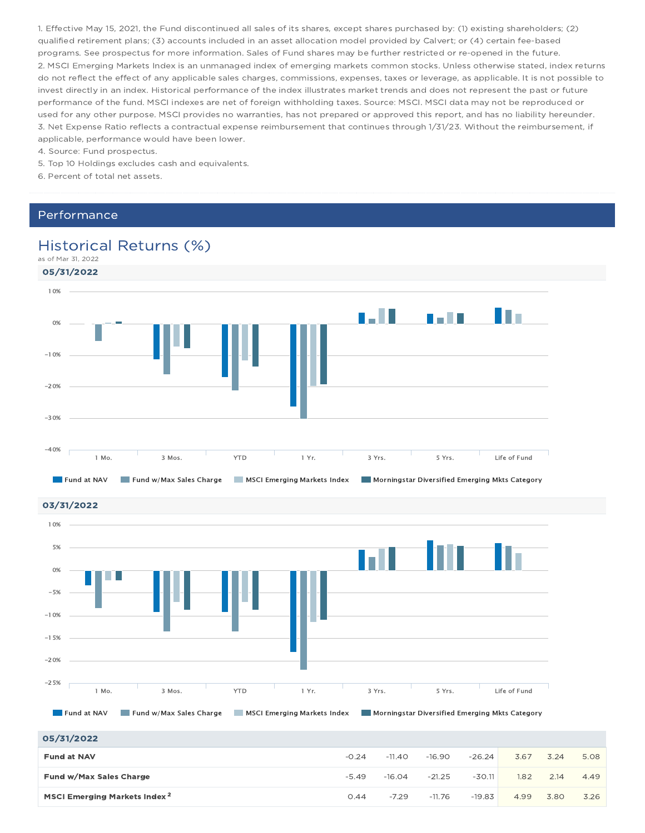1. Effective May 15, 2021, the Fund discontinued all sales of its shares, except shares purchased by: (1) existing shareholders; (2) qualified retirement plans; (3) accounts included in an asset allocation model provided by Calvert; or (4) certain fee-based programs. See prospectus for more information. Sales of Fund shares may be further restricted or re-opened in the future. 2. MSCI Emerging Markets Index is an unmanaged index of emerging markets common stocks. Unless otherwise stated, index returns do not reflect the effect of any applicable sales charges, commissions, expenses, taxes or leverage, as applicable. It is not possible to invest directly in an index. Historical performance of the index illustrates market trends and does not represent the past or future performance of the fund. MSCI indexes are net of foreign withholding taxes. Source: MSCI. MSCI data may not be reproduced or used for any other purpose. MSCI provides no warranties, has not prepared or approved this report, and has no liability hereunder. 3. Net Expense Ratio reflects a contractual expense reimbursement that continues through 1/31/23. Without the reimbursement, if applicable, performance would have been lower.

4. Source: Fund prospectus.

- 5. Top 10 Holdings excludes cash and equivalents.
- 6. Percent of total net assets.

#### Performance

### Historical Returns (%)

## as of Mar 31, 2022



03/31/2022



#### 05/31/2022

| _________                                |         |          |          |          |      |      |      |
|------------------------------------------|---------|----------|----------|----------|------|------|------|
| <b>Fund at NAV</b>                       | $-0.24$ | $-11.40$ | $-16.90$ | $-26.24$ | 3.67 | 3.24 | 5.08 |
| Fund w/Max Sales Charge                  | $-5.49$ | $-16.04$ | $-21.25$ | $-30.11$ | 1.82 | 2.14 | 4.49 |
| MSCI Emerging Markets Index <sup>2</sup> | 0.44    | $-7.29$  | $-11.76$ | $-19.83$ | 4.99 | 3.80 | 3.26 |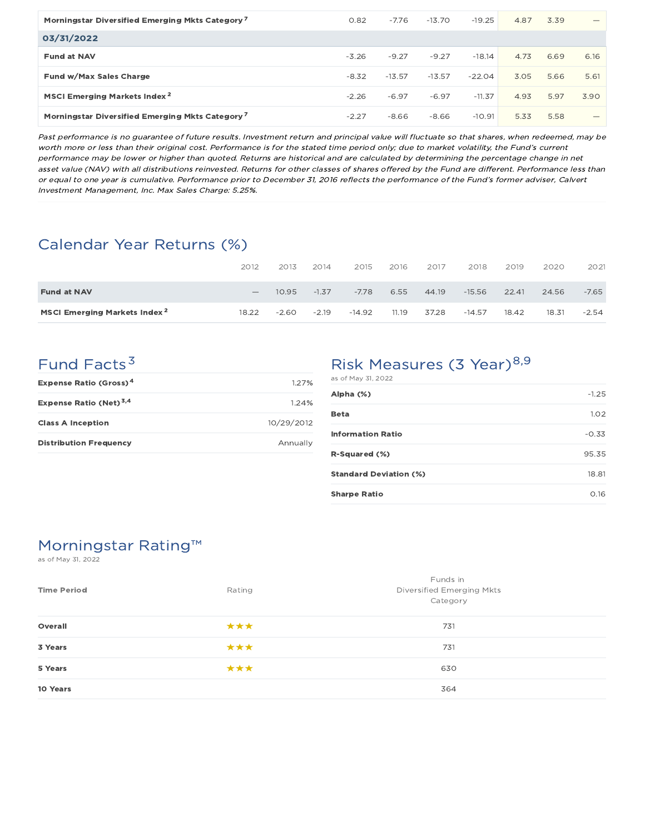| Morningstar Diversified Emerging Mkts Category <sup>7</sup> | 0.82    | $-7.76$  | $-13.70$ | $-19.25$ | 4.87 | 3.39 |      |
|-------------------------------------------------------------|---------|----------|----------|----------|------|------|------|
| 03/31/2022                                                  |         |          |          |          |      |      |      |
| <b>Fund at NAV</b>                                          | $-3.26$ | $-9.27$  | $-9.27$  | $-18.14$ | 4.73 | 6.69 | 6.16 |
| Fund w/Max Sales Charge                                     | $-8.32$ | $-13.57$ | $-13.57$ | $-22.04$ | 3.05 | 5.66 | 5.61 |
| MSCI Emerging Markets Index <sup>2</sup>                    | $-2.26$ | $-6.97$  | $-6.97$  | $-11.37$ | 4.93 | 5.97 | 3.90 |
| Morningstar Diversified Emerging Mkts Category <sup>7</sup> | $-2.27$ | $-8.66$  | $-8.66$  | $-10.91$ | 5.33 | 5.58 | –    |

Past performance is no guarantee of future results. Investment return and principal value will fluctuate so that shares, when redeemed, may be worth more or less than their original cost. Performance is for the stated time period only; due to market volatility, the Fund's current performance may be lower or higher than quoted. Returns are historical and are calculated by determining the percentage change in net asset value (NAV) with all distributions reinvested. Returns for other classes of shares offered by the Fund are different. Performance less than or equal to one year is cumulative. Performance prior to December 31, 2016 reflects the performance of the Fund's former adviser, Calvert Investment Management, Inc. Max Sales Charge: 5.25%.

## Calendar Year Returns (%)

|                                          | 2012                            | 2013    | 2014    | 2015     | 2016  | 2017  | 2018     | 2019  | 2020  | 2021    |
|------------------------------------------|---------------------------------|---------|---------|----------|-------|-------|----------|-------|-------|---------|
| <b>Fund at NAV</b>                       | $\hspace{0.1mm}-\hspace{0.1mm}$ | 10.95   | $-1.37$ | $-7.78$  | 6.55  | 44.19 | $-15.56$ | 22.41 | 24.56 | $-7.65$ |
| MSCI Emerging Markets Index <sup>2</sup> | 18.22                           | $-2.60$ | $-2.19$ | $-14.92$ | 11.19 | 37.28 | $-14.57$ | 18.42 | 18.31 | $-2.54$ |

## Fund Facts<sup>3</sup>

| Expense Ratio (Gross) <sup>4</sup> | 1.27%      |
|------------------------------------|------------|
| Expense Ratio (Net) <sup>3,4</sup> | 124%       |
| <b>Class A Inception</b>           | 10/29/2012 |
| <b>Distribution Frequency</b>      | Annually   |

#### Risk Measures (3 Year)<sup>8,9</sup> as of May 31, 2022

| Alpha (%)                     | $-1.25$ |
|-------------------------------|---------|
| Beta                          | 1.02    |
| <b>Information Ratio</b>      | $-0.33$ |
| R-Squared (%)                 | 95.35   |
| <b>Standard Deviation (%)</b> | 18.81   |
| <b>Sharpe Ratio</b>           | 0.16    |

## Morningstar Rating™

as of May 31, 2022

| <b>Time Period</b> | Rating | Funds in<br><b>Diversified Emerging Mkts</b><br>Category |
|--------------------|--------|----------------------------------------------------------|
| Overall            | ***    | 731                                                      |
| 3 Years            | ***    | 731                                                      |
| 5 Years            | ***    | 630                                                      |
| 10 Years           |        | 364                                                      |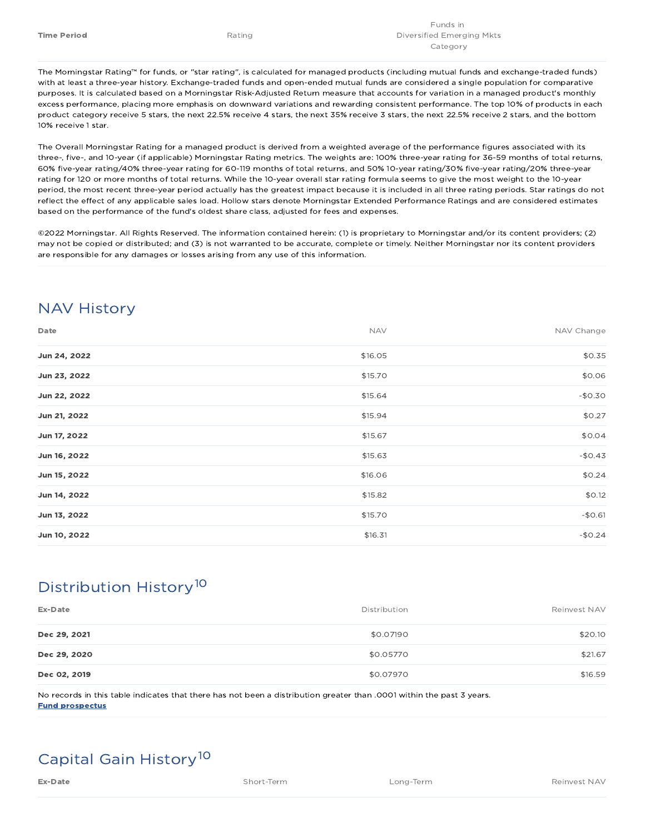The Morningstar Rating™ for funds, or "star rating", is calculated for managed products (including mutual funds and exchange-traded funds) with at least a three-year history. Exchange-traded funds and open-ended mutual funds are considered a single population for comparative purposes. It is calculated based on a Morningstar Risk-Adjusted Return measure that accounts for variation in a managed product's monthly excess performance, placing more emphasis on downward variations and rewarding consistent performance. The top 10% of products in each product category receive 5 stars, the next 22.5% receive 4 stars, the next 35% receive 3 stars, the next 22.5% receive 2 stars, and the bottom 10% receive 1 star.

The Overall Morningstar Rating for a managed product is derived from a weighted average of the performance figures associated with its three-, five-, and 10-year (if applicable) Morningstar Rating metrics. The weights are: 100% three-year rating for 36-59 months of total returns, 60% five-year rating/40% three-year rating for 60-119 months of total returns, and 50% 10-year rating/30% five-year rating/20% three-year rating for 120 or more months of total returns. While the 10-year overall star rating formula seems to give the most weight to the 10-year period, the most recent three-year period actually has the greatest impact because it is included in all three rating periods. Star ratings do not reflect the effect of any applicable sales load. Hollow stars denote Morningstar Extended Performance Ratings and are considered estimates based on the performance of the fund's oldest share class, adjusted for fees and expenses.

©2022 Morningstar. All Rights Reserved. The information contained herein: (1) is proprietary to Morningstar and/or its content providers; (2) may not be copied or distributed; and (3) is not warranted to be accurate, complete or timely. Neither Morningstar nor its content providers are responsible for any damages or losses arising from any use of this information.

## NAV History

| Date         | <b>NAV</b> | NAV Change |
|--------------|------------|------------|
| Jun 24, 2022 | \$16.05    | \$0.35     |
| Jun 23, 2022 | \$15.70    | \$0.06     |
| Jun 22, 2022 | \$15.64    | $-$0.30$   |
| Jun 21, 2022 | \$15.94    | \$0.27     |
| Jun 17, 2022 | \$15.67    | \$0.04     |
| Jun 16, 2022 | \$15.63    | $-$0.43$   |
| Jun 15, 2022 | \$16.06    | \$0.24     |
| Jun 14, 2022 | \$15.82    | \$0.12     |
| Jun 13, 2022 | \$15.70    | $-$0.61$   |
| Jun 10, 2022 | \$16.31    | $-$0.24$   |

## Distribution History 10

| Ex-Date      | Distribution | Reinvest NAV |
|--------------|--------------|--------------|
| Dec 29, 2021 | \$0.07190    | \$20.10      |
| Dec 29, 2020 | \$0.05770    | \$21.67      |
| Dec 02, 2019 | \$0.07970    | \$16.59      |

No records in this table indicates that there has not been a distribution greater than .0001 within the past 3 years. Fund prospectus

## Capital Gain History<sup>10</sup>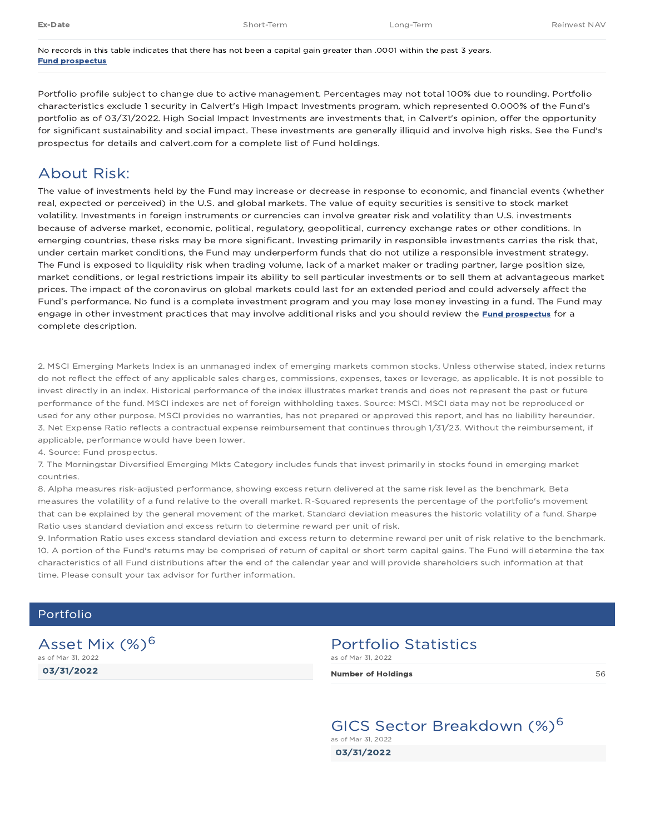No records in this table indicates that there has not been a capital gain greater than .0001 within the past 3 years. Fund prospectus

Portfolio profile subject to change due to active management. Percentages may not total 100% due to rounding. Portfolio characteristics exclude 1 security in Calvert's High Impact Investments program, which represented 0.000% of the Fund's portfolio as of 03/31/2022. High Social Impact Investments are investments that, in Calvert's opinion, offer the opportunity for significant sustainability and social impact. These investments are generally illiquid and involve high risks. See the Fund's prospectus for details and calvert.com for a complete list of Fund holdings.

### About Risk:

The value of investments held by the Fund may increase or decrease in response to economic, and financial events (whether real, expected or perceived) in the U.S. and global markets. The value of equity securities is sensitive to stock market volatility. Investments in foreign instruments or currencies can involve greater risk and volatility than U.S. investments because of adverse market, economic, political, regulatory, geopolitical, currency exchange rates or other conditions. In emerging countries, these risks may be more significant. Investing primarily in responsible investments carries the risk that, under certain market conditions, the Fund may underperform funds that do not utilize a responsible investment strategy. The Fund is exposed to liquidity risk when trading volume, lack of a market maker or trading partner, large position size, market conditions, or legal restrictions impair its ability to sell particular investments or to sell them at advantageous market prices. The impact of the coronavirus on global markets could last for an extended period and could adversely affect the Fund's performance. No fund is a complete investment program and you may lose money investing in a fund. The Fund may engage in other investment practices that may involve additional risks and you should review the Fund prospectus for a complete description.

2. MSCI Emerging Markets Index is an unmanaged index of emerging markets common stocks. Unless otherwise stated, index returns do not reflect the effect of any applicable sales charges, commissions, expenses, taxes or leverage, as applicable. It is not possible to invest directly in an index. Historical performance of the index illustrates market trends and does not represent the past or future performance of the fund. MSCI indexes are net of foreign withholding taxes. Source: MSCI. MSCI data may not be reproduced or used for any other purpose. MSCI provides no warranties, has not prepared or approved this report, and has no liability hereunder. 3. Net Expense Ratio reflects a contractual expense reimbursement that continues through 1/31/23. Without the reimbursement, if applicable, performance would have been lower.

4. Source: Fund prospectus.

7. The Morningstar Diversified Emerging Mkts Category includes funds that invest primarily in stocks found in emerging market countries.

8. Alpha measures risk-adjusted performance, showing excess return delivered at the same risk level as the benchmark. Beta measures the volatility of a fund relative to the overall market. R-Squared represents the percentage of the portfolio's movement that can be explained by the general movement of the market. Standard deviation measures the historic volatility of a fund. Sharpe Ratio uses standard deviation and excess return to determine reward per unit of risk.

9. Information Ratio uses excess standard deviation and excess return to determine reward per unit of risk relative to the benchmark. 10. A portion of the Fund's returns may be comprised of return of capital or short term capital gains. The Fund will determine the tax characteristics of all Fund distributions after the end of the calendar year and will provide shareholders such information at that time. Please consult your tax advisor for further information.

#### Portfolio

03/31/2022 Asset Mix (%)<sup>6</sup> as of Mar 31, 2022

#### Portfolio Statistics as of Mar 31, 2022

Number of Holdings and Society and Society and Society and Society and Society and Society and Society and Society and Society and Society and Society and Society and Society and Society and Society and Society and Society

03/31/2022 GICS Sector Breakdown (%)<sup>6</sup> as of Mar 31, 2022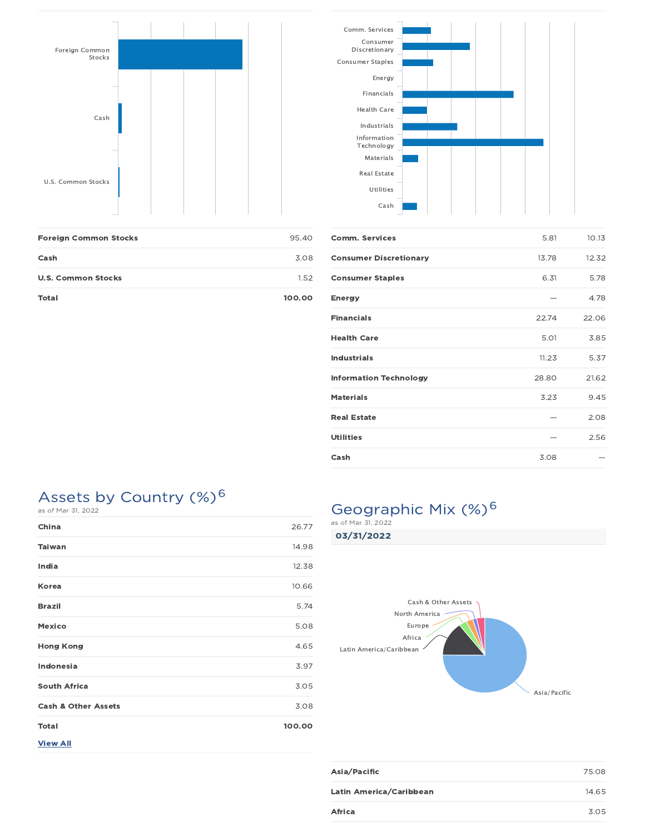



| <b>Foreign Common Stocks</b> | 95.40  |
|------------------------------|--------|
| Cash                         | 3.08   |
| <b>U.S. Common Stocks</b>    | 1.52   |
| Total                        | 100.00 |

| <b>Comm. Services</b>         | 5.81  | 10.13 |
|-------------------------------|-------|-------|
| <b>Consumer Discretionary</b> | 13.78 | 12.32 |
| <b>Consumer Staples</b>       | 6.31  | 5.78  |
| <b>Energy</b>                 |       | 4.78  |
| <b>Financials</b>             | 22.74 | 22.06 |
| <b>Health Care</b>            | 5.01  | 3.85  |
| <b>Industrials</b>            | 11.23 | 5.37  |
| <b>Information Technology</b> | 28.80 | 21.62 |
| <b>Materials</b>              | 3.23  | 9.45  |
| <b>Real Estate</b>            |       | 2.08  |
| <b>Utilities</b>              |       | 2.56  |
| Cash                          | 3.08  |       |

## Assets by Country  $(\%)^6$

| as or mar <i>si, zuzz</i>      |        |
|--------------------------------|--------|
| China                          | 26.77  |
| <b>Taiwan</b>                  | 14.98  |
| India                          | 12.38  |
| Korea                          | 10.66  |
| <b>Brazil</b>                  | 5.74   |
| <b>Mexico</b>                  | 5.08   |
| <b>Hong Kong</b>               | 4.65   |
| Indonesia                      | 3.97   |
| <b>South Africa</b>            | 3.05   |
| <b>Cash &amp; Other Assets</b> | 3.08   |
| <b>Total</b>                   | 100.00 |
| <b>View All</b>                |        |

## Geographic Mix (%)<sup>6</sup>

03/31/2022



| Asia/Pacific            | 75.08 |
|-------------------------|-------|
| Latin America/Caribbean | 14.65 |
| Africa                  | 3.05  |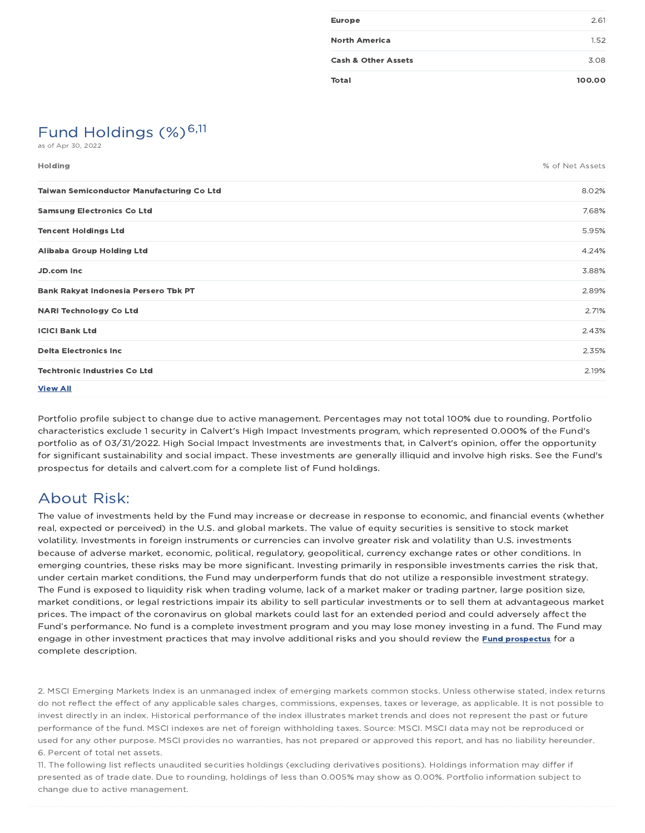| <b>Europe</b>                  | 2.61   |
|--------------------------------|--------|
| <b>North America</b>           | 1.52   |
| <b>Cash &amp; Other Assets</b> | 3.08   |
| <b>Total</b>                   | 100.00 |

## Fund Holdings  $(\%)^{6,11}$

as of Apr 30, 2022

| <b>Holding</b>                                   | % of Net Assets |
|--------------------------------------------------|-----------------|
| <b>Taiwan Semiconductor Manufacturing Co Ltd</b> | 8.02%           |
| <b>Samsung Electronics Co Ltd</b>                | 7.68%           |
| <b>Tencent Holdings Ltd</b>                      | 5.95%           |
| Alibaba Group Holding Ltd                        | 4.24%           |
| JD.com Inc                                       | 3.88%           |
| Bank Rakyat Indonesia Persero Tbk PT             | 2.89%           |
| <b>NARI Technology Co Ltd</b>                    | 2.71%           |
| <b>ICICI Bank Ltd</b>                            | 2.43%           |
| <b>Delta Electronics Inc.</b>                    | 2.35%           |
| <b>Techtronic Industries Co Ltd</b>              | 2.19%           |
| <b>View All</b>                                  |                 |

Portfolio profile subject to change due to active management. Percentages may not total 100% due to rounding. Portfolio characteristics exclude 1 security in Calvert's High Impact Investments program, which represented 0.000% of the Fund's portfolio as of 03/31/2022. High Social Impact Investments are investments that, in Calvert's opinion, offer the opportunity for significant sustainability and social impact. These investments are generally illiquid and involve high risks. See the Fund's prospectus for details and calvert.com for a complete list of Fund holdings.

## About Risk:

The value of investments held by the Fund may increase or decrease in response to economic, and financial events (whether real, expected or perceived) in the U.S. and global markets. The value of equity securities is sensitive to stock market volatility. Investments in foreign instruments or currencies can involve greater risk and volatility than U.S. investments because of adverse market, economic, political, regulatory, geopolitical, currency exchange rates or other conditions. In emerging countries, these risks may be more significant. Investing primarily in responsible investments carries the risk that, under certain market conditions, the Fund may underperform funds that do not utilize a responsible investment strategy. The Fund is exposed to liquidity risk when trading volume, lack of a market maker or trading partner, large position size, market conditions, or legal restrictions impair its ability to sell particular investments or to sell them at advantageous market prices. The impact of the coronavirus on global markets could last for an extended period and could adversely affect the Fund's performance. No fund is a complete investment program and you may lose money investing in a fund. The Fund may engage in other investment practices that may involve additional risks and you should review the **Fund prospectus** for a complete description.

2. MSCI Emerging Markets Index is an unmanaged index of emerging markets common stocks. Unless otherwise stated, index returns do not reflect the effect of any applicable sales charges, commissions, expenses, taxes or leverage, as applicable. It is not possible to invest directly in an index. Historical performance of the index illustrates market trends and does not represent the past or future performance of the fund. MSCI indexes are net of foreign withholding taxes. Source: MSCI. MSCI data may not be reproduced or used for any other purpose. MSCI provides no warranties, has not prepared or approved this report, and has no liability hereunder. 6. Percent of total net assets.

11. The following list reflects unaudited securities holdings (excluding derivatives positions). Holdings information may differ if presented as of trade date. Due to rounding, holdings of less than 0.005% may show as 0.00%. Portfolio information subject to change due to active management.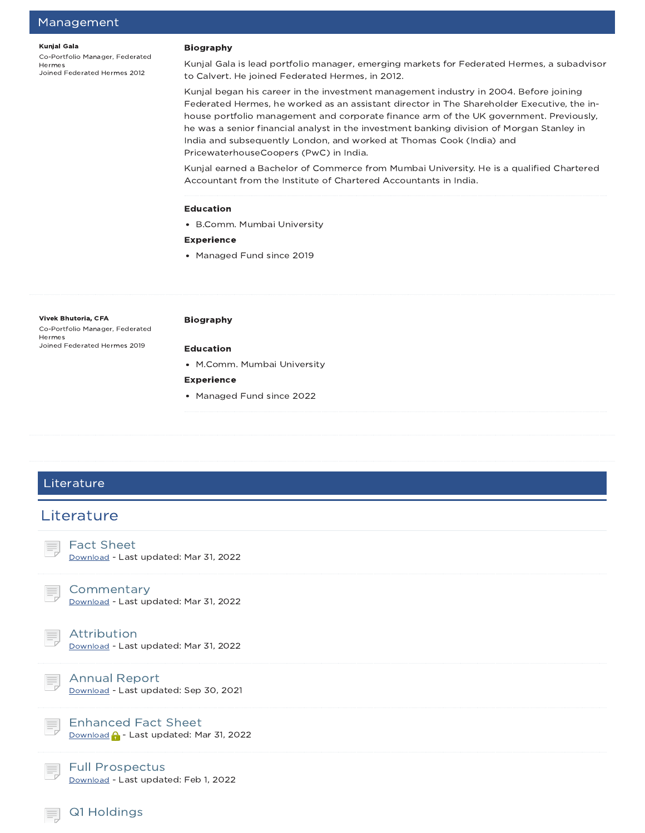#### Kunjal Gala

Co-Portfolio Manager, Federated Hermes Joined Federated Hermes 2012

#### Biography

Kunjal Gala is lead portfolio manager, emerging markets for Federated Hermes, a subadvisor to Calvert. He joined Federated Hermes, in 2012.

Kunjal began his career in the investment management industry in 2004. Before joining Federated Hermes, he worked as an assistant director in The Shareholder Executive, the inhouse portfolio management and corporate finance arm of the UK government. Previously, he was a senior financial analyst in the investment banking division of Morgan Stanley in India and subsequently London, and worked at Thomas Cook (India) and PricewaterhouseCoopers (PwC) in India.

Kunjal earned a Bachelor of Commerce from Mumbai University. He is a qualified Chartered Accountant from the Institute of Chartered Accountants in India.

#### Education

B.Comm. Mumbai University

#### Experience

Managed Fund since 2019

#### Vivek Bhutoria, CFA

Co-Portfolio Manager, Federated Hermes Joined Federated Hermes 2019

#### Biography

#### Education

M.Comm. Mumbai University

#### Experience

• Managed Fund since 2022

## Literature **Literature** Fact Sheet Download - Last updated: Mar 31, 2022 Commentary Download - Last updated: Mar 31, 2022 Attribution Download - Last updated: Mar 31, 2022 Annual Report Download - Last updated: Sep 30, 2021 Enhanced Fact Sheet Download **A** - Last updated: Mar 31, 2022 Full Prospectus Download - Last updated: Feb 1, 2022 Q1 Holdings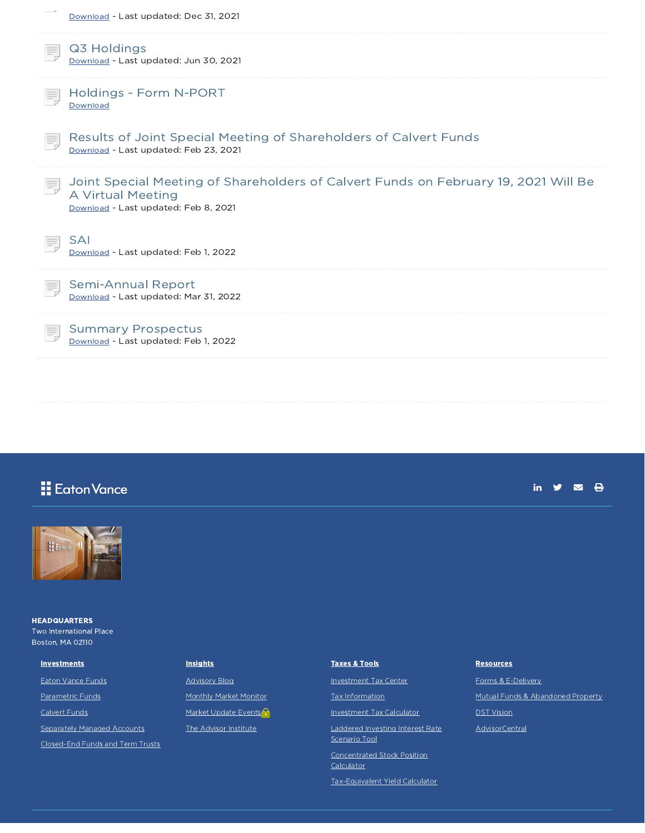| Download - Last updated: Dec 31, 2021                                                                                                            |
|--------------------------------------------------------------------------------------------------------------------------------------------------|
| Q3 Holdings<br>Download - Last updated: Jun 30, 2021                                                                                             |
| Holdings - Form N-PORT<br>Download                                                                                                               |
| Results of Joint Special Meeting of Shareholders of Calvert Funds<br>Download - Last updated: Feb 23, 2021                                       |
| Joint Special Meeting of Shareholders of Calvert Funds on February 19, 2021 Will Be<br>A Virtual Meeting<br>Download - Last updated: Feb 8, 2021 |
| <b>SAI</b><br>Download - Last updated: Feb 1, 2022                                                                                               |
| Semi-Annual Report<br>Download - Last updated: Mar 31, 2022                                                                                      |
| <b>Summary Prospectus</b><br>Download - Last updated: Feb 1, 2022                                                                                |

## **H** Eaton Vance





**HEADQUARTERS** Two International Place Boston, MA 02110

Eaton Vance Funds Parametric Funds Calvert Funds

**Investments** 

Separately Managed Accounts

Closed-End Funds and Term Trusts

### **Insights**

Advisory Blog Monthly Market Monitor Market Update Events<sup>2</sup> The Advisor Institute

### Taxes & Tools Investment Tax Center Tax Information Investment Tax Calculator Laddered Investing Interest Rate

Scenario Tool Concentrated Stock Position

**Calculator** 

Tax-Equivalent Yield Calculator

#### **Resources**

Forms & E-Delivery Mutual Funds & Abandoned Property DST Vision AdvisorCentral